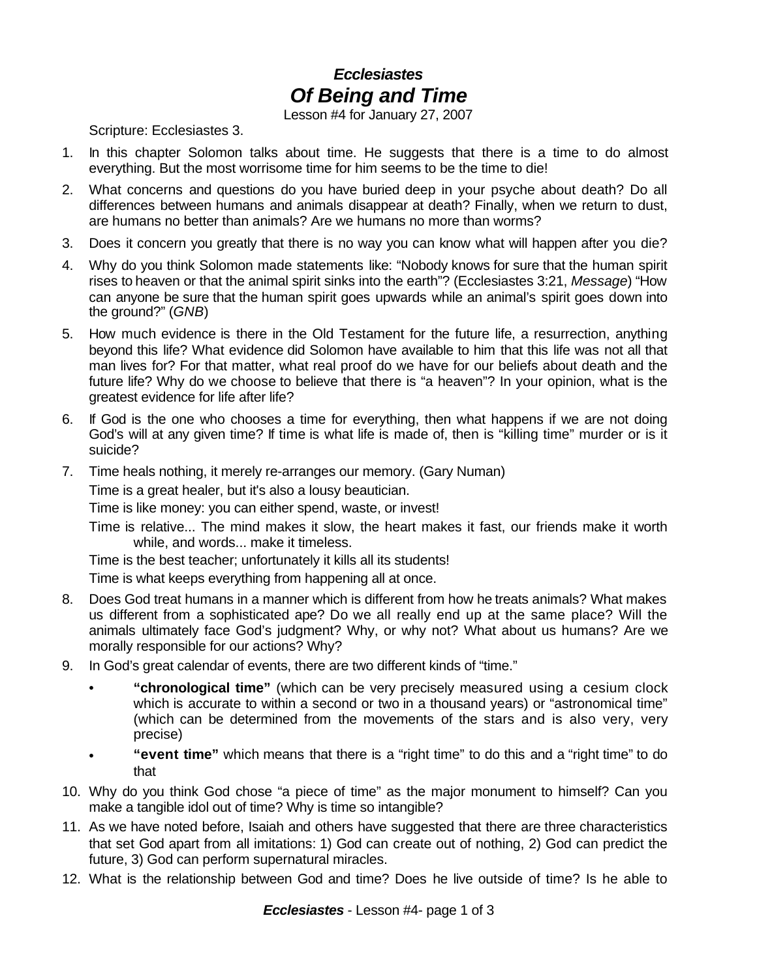## *Ecclesiastes Of Being and Time*

Lesson #4 for January 27, 2007

Scripture: Ecclesiastes 3.

- 1. In this chapter Solomon talks about time. He suggests that there is a time to do almost everything. But the most worrisome time for him seems to be the time to die!
- 2. What concerns and questions do you have buried deep in your psyche about death? Do all differences between humans and animals disappear at death? Finally, when we return to dust, are humans no better than animals? Are we humans no more than worms?
- 3. Does it concern you greatly that there is no way you can know what will happen after you die?
- 4. Why do you think Solomon made statements like: "Nobody knows for sure that the human spirit rises to heaven or that the animal spirit sinks into the earth"? (Ecclesiastes 3:21, *Message*) "How can anyone be sure that the human spirit goes upwards while an animal's spirit goes down into the ground?" (*GNB*)
- 5. How much evidence is there in the Old Testament for the future life, a resurrection, anything beyond this life? What evidence did Solomon have available to him that this life was not all that man lives for? For that matter, what real proof do we have for our beliefs about death and the future life? Why do we choose to believe that there is "a heaven"? In your opinion, what is the greatest evidence for life after life?
- 6. If God is the one who chooses a time for everything, then what happens if we are not doing God's will at any given time? If time is what life is made of, then is "killing time" murder or is it suicide?
- 7. Time heals nothing, it merely re-arranges our memory. (Gary Numan)

Time is a great healer, but it's also a lousy beautician.

Time is like money: you can either spend, waste, or invest!

Time is relative... The mind makes it slow, the heart makes it fast, our friends make it worth while, and words... make it timeless.

Time is the best teacher; unfortunately it kills all its students!

Time is what keeps everything from happening all at once.

- 8. Does God treat humans in a manner which is different from how he treats animals? What makes us different from a sophisticated ape? Do we all really end up at the same place? Will the animals ultimately face God's judgment? Why, or why not? What about us humans? Are we morally responsible for our actions? Why?
- 9. In God's great calendar of events, there are two different kinds of "time."
	- **"chronological time"** (which can be very precisely measured using a cesium clock which is accurate to within a second or two in a thousand years) or "astronomical time" (which can be determined from the movements of the stars and is also very, very precise)
	- **"event time"** which means that there is a "right time" to do this and a "right time" to do that
- 10. Why do you think God chose "a piece of time" as the major monument to himself? Can you make a tangible idol out of time? Why is time so intangible?
- 11. As we have noted before, Isaiah and others have suggested that there are three characteristics that set God apart from all imitations: 1) God can create out of nothing, 2) God can predict the future, 3) God can perform supernatural miracles.
- 12. What is the relationship between God and time? Does he live outside of time? Is he able to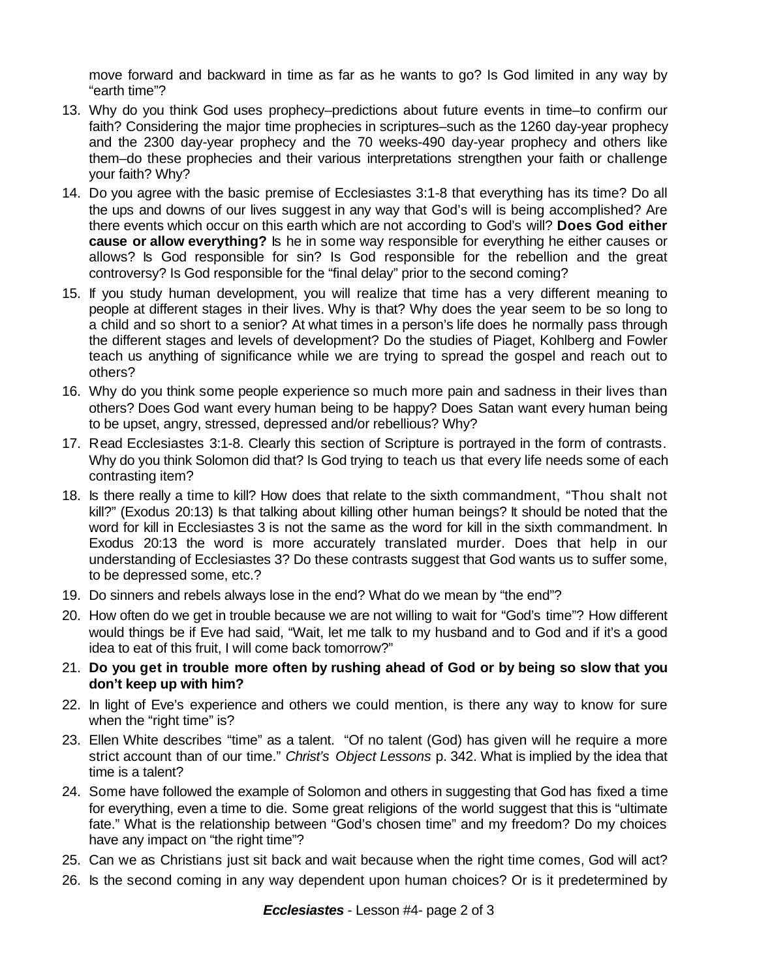move forward and backward in time as far as he wants to go? Is God limited in any way by "earth time"?

- 13. Why do you think God uses prophecy–predictions about future events in time–to confirm our faith? Considering the major time prophecies in scriptures–such as the 1260 day-year prophecy and the 2300 day-year prophecy and the 70 weeks-490 day-year prophecy and others like them–do these prophecies and their various interpretations strengthen your faith or challenge your faith? Why?
- 14. Do you agree with the basic premise of Ecclesiastes 3:1-8 that everything has its time? Do all the ups and downs of our lives suggest in any way that God's will is being accomplished? Are there events which occur on this earth which are not according to God's will? **Does God either cause or allow everything?** Is he in some way responsible for everything he either causes or allows? Is God responsible for sin? Is God responsible for the rebellion and the great controversy? Is God responsible for the "final delay" prior to the second coming?
- 15. If you study human development, you will realize that time has a very different meaning to people at different stages in their lives. Why is that? Why does the year seem to be so long to a child and so short to a senior? At what times in a person's life does he normally pass through the different stages and levels of development? Do the studies of Piaget, Kohlberg and Fowler teach us anything of significance while we are trying to spread the gospel and reach out to others?
- 16. Why do you think some people experience so much more pain and sadness in their lives than others? Does God want every human being to be happy? Does Satan want every human being to be upset, angry, stressed, depressed and/or rebellious? Why?
- 17. Read Ecclesiastes 3:1-8. Clearly this section of Scripture is portrayed in the form of contrasts. Why do you think Solomon did that? Is God trying to teach us that every life needs some of each contrasting item?
- 18. Is there really a time to kill? How does that relate to the sixth commandment, "Thou shalt not kill?" (Exodus 20:13) Is that talking about killing other human beings? It should be noted that the word for kill in Ecclesiastes 3 is not the same as the word for kill in the sixth commandment. In Exodus 20:13 the word is more accurately translated murder. Does that help in our understanding of Ecclesiastes 3? Do these contrasts suggest that God wants us to suffer some, to be depressed some, etc.?
- 19. Do sinners and rebels always lose in the end? What do we mean by "the end"?
- 20. How often do we get in trouble because we are not willing to wait for "God's time"? How different would things be if Eve had said, "Wait, let me talk to my husband and to God and if it's a good idea to eat of this fruit, I will come back tomorrow?"
- 21. **Do you get in trouble more often by rushing ahead of God or by being so slow that you don't keep up with him?**
- 22. In light of Eve's experience and others we could mention, is there any way to know for sure when the "right time" is?
- 23. Ellen White describes "time" as a talent. "Of no talent (God) has given will he require a more strict account than of our time." *Christ's Object Lessons* p. 342. What is implied by the idea that time is a talent?
- 24. Some have followed the example of Solomon and others in suggesting that God has fixed a time for everything, even a time to die. Some great religions of the world suggest that this is "ultimate fate." What is the relationship between "God's chosen time" and my freedom? Do my choices have any impact on "the right time"?
- 25. Can we as Christians just sit back and wait because when the right time comes, God will act?
- 26. Is the second coming in any way dependent upon human choices? Or is it predetermined by